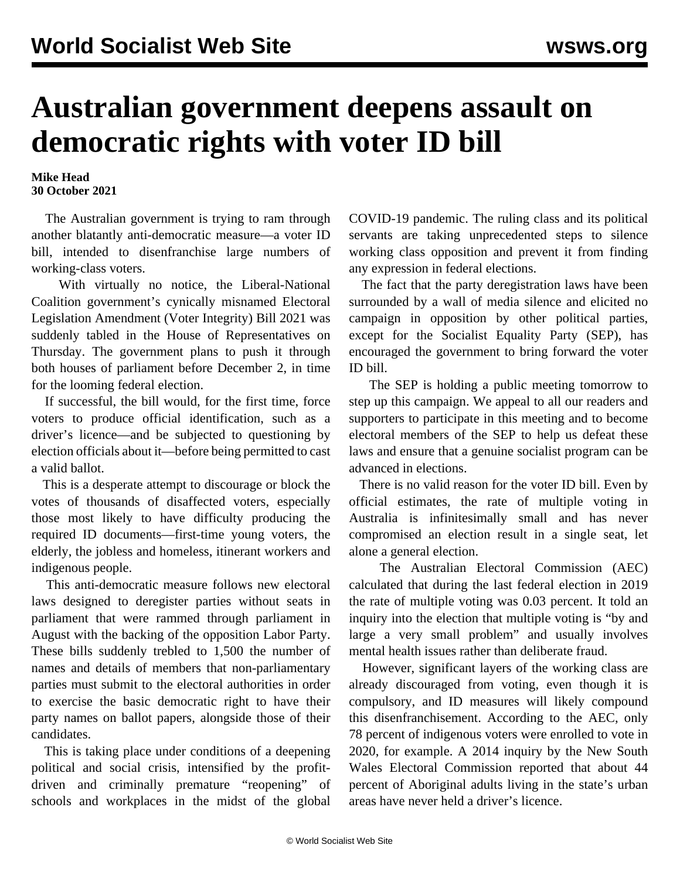## **Australian government deepens assault on democratic rights with voter ID bill**

**Mike Head 30 October 2021**

 The Australian government is trying to ram through another blatantly anti-democratic measure—a voter ID bill, intended to disenfranchise large numbers of working-class voters.

 With virtually no notice, the Liberal-National Coalition government's cynically misnamed Electoral Legislation Amendment (Voter Integrity) Bill 2021 was suddenly tabled in the House of Representatives on Thursday. The government plans to push it through both houses of parliament before December 2, in time for the looming federal election.

 If successful, the bill would, for the first time, force voters to produce official identification, such as a driver's licence—and be subjected to questioning by election officials about it—before being permitted to cast a valid ballot.

 This is a desperate attempt to discourage or block the votes of thousands of disaffected voters, especially those most likely to have difficulty producing the required ID documents—first-time young voters, the elderly, the jobless and homeless, itinerant workers and indigenous people.

 This anti-democratic measure follows new electoral laws designed to deregister parties without seats in parliament that were rammed through parliament in August with the backing of the opposition Labor Party. These bills suddenly trebled to 1,500 the number of names and details of members that non-parliamentary parties must submit to the electoral authorities in order to exercise the basic democratic right to have their party names on ballot papers, alongside those of their candidates.

 This is taking place under conditions of a deepening political and social crisis, intensified by the profitdriven and criminally premature "reopening" of schools and workplaces in the midst of the global

COVID-19 pandemic. The ruling class and its political servants are taking unprecedented steps to silence working class opposition and prevent it from finding any expression in federal elections.

 The fact that the party deregistration laws have been surrounded by a wall of media silence and elicited no campaign in opposition by other political parties, except for the Socialist Equality Party (SEP), has encouraged the government to bring forward the voter ID bill.

 The SEP is holding a [public meeting tomorrow](/en/articles/2021/10/16/elec-o16.html) to step up this campaign. We appeal to all our readers and supporters to participate in this meeting and to become [electoral members](/en/special/pages/sep/australia/home.html?redirect=true) of the SEP to help us defeat these laws and ensure that a genuine socialist program can be advanced in elections.

 There is no valid reason for the voter ID bill. Even by official estimates, the rate of multiple voting in Australia is infinitesimally small and has never compromised an election result in a single seat, let alone a general election.

 The Australian Electoral Commission (AEC) calculated that during the last federal election in 2019 the rate of multiple voting was 0.03 percent. It told an inquiry into the election that multiple voting is "by and large a very small problem" and usually involves mental health issues rather than deliberate fraud.

 However, significant layers of the working class are already discouraged from voting, even though it is compulsory, and ID measures will likely compound this disenfranchisement. According to the AEC, only 78 percent of indigenous voters were enrolled to vote in 2020, for example. A 2014 inquiry by the New South Wales Electoral Commission reported that about 44 percent of Aboriginal adults living in the state's urban areas have never held a driver's licence.